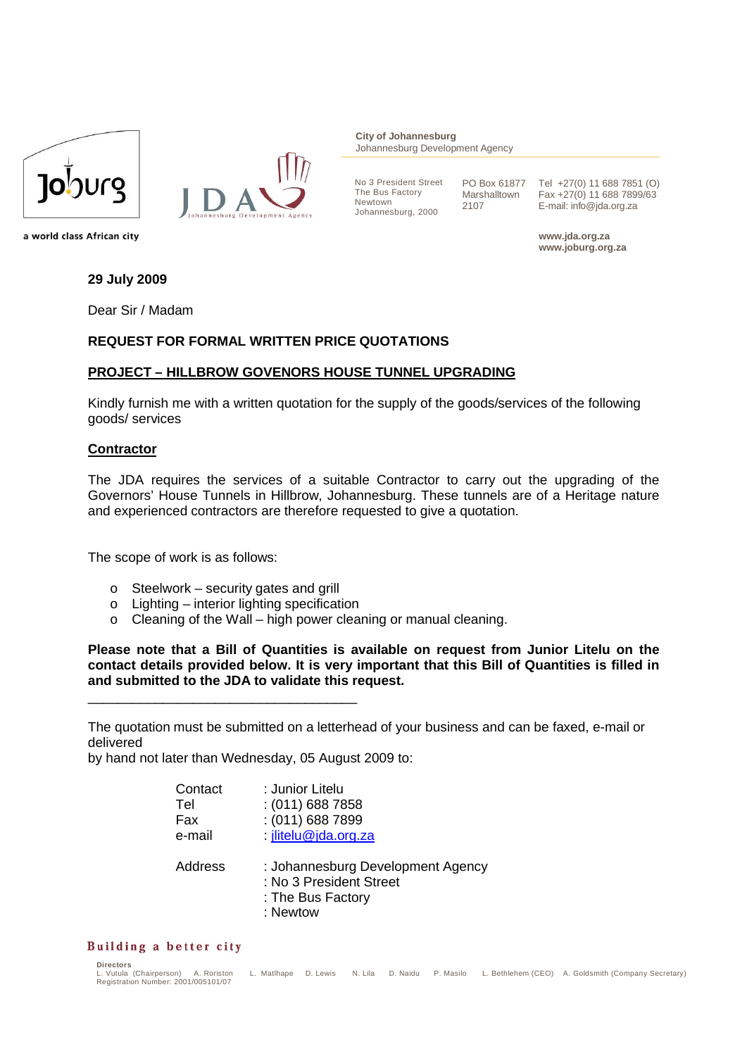



**City of Johannesburg** Johannesburg Development Agency

The Bus Factory Newtown Johannesburg, 2000

Marshalltown 2107

No 3 President Street PO Box 61877 Tel +27(0) 11 688 7851 (O) Fax +27(0) 11 688 7899/63 E-mail: info@jda.org.za

> **www.jda.org.za www.joburg.org.za**

a world class African city

## **29 July 2009**

Dear Sir / Madam

## **REQUEST FOR FORMAL WRITTEN PRICE QUOTATIONS**

## **PROJECT – HILLBROW GOVENORS HOUSE TUNNEL UPGRADING**

Kindly furnish me with a written quotation for the supply of the goods/services of the following goods/ services

### **Contractor**

The JDA requires the services of a suitable Contractor to carry out the upgrading of the Governors' House Tunnels in Hillbrow, Johannesburg. These tunnels are of a Heritage nature and experienced contractors are therefore requested to give a quotation.

The scope of work is as follows:

o Steelwork – security gates and grill

\_\_\_\_\_\_\_\_\_\_\_\_\_\_\_\_\_\_\_\_\_\_\_\_\_\_\_\_\_\_\_\_\_\_\_\_

- o Lighting interior lighting specification
- o Cleaning of the Wall high power cleaning or manual cleaning.

**Please note that a Bill of Quantities is available on request from Junior Litelu on the contact details provided below. It is very important that this Bill of Quantities is filled in and submitted to the JDA to validate this request.**

The quotation must be submitted on a letterhead of your business and can be faxed, e-mail or delivered

by hand not later than Wednesday, 05 August 2009 to:

| Contact | : Junior Litelu                                                                               |
|---------|-----------------------------------------------------------------------------------------------|
| Tel     | $(011)$ 688 7858                                                                              |
| Fax     | $: (011)$ 688 7899                                                                            |
| e-mail  | jlitelu@jda.org.za                                                                            |
| Address | : Johannesburg Development Agency<br>: No 3 President Street<br>: The Bus Factory<br>: Newtow |

#### Building a better city

| <b>Directors</b>                    |  |  |  |                                                                                                                                         |
|-------------------------------------|--|--|--|-----------------------------------------------------------------------------------------------------------------------------------------|
|                                     |  |  |  | L. Vutula (Chairperson) A. Roriston L. Matlhape D. Lewis N. Lila D. Naidu P. Masilo L. Bethlehem (CEO) A. Goldsmith (Company Secretary) |
| Registration Number: 2001/005101/07 |  |  |  |                                                                                                                                         |